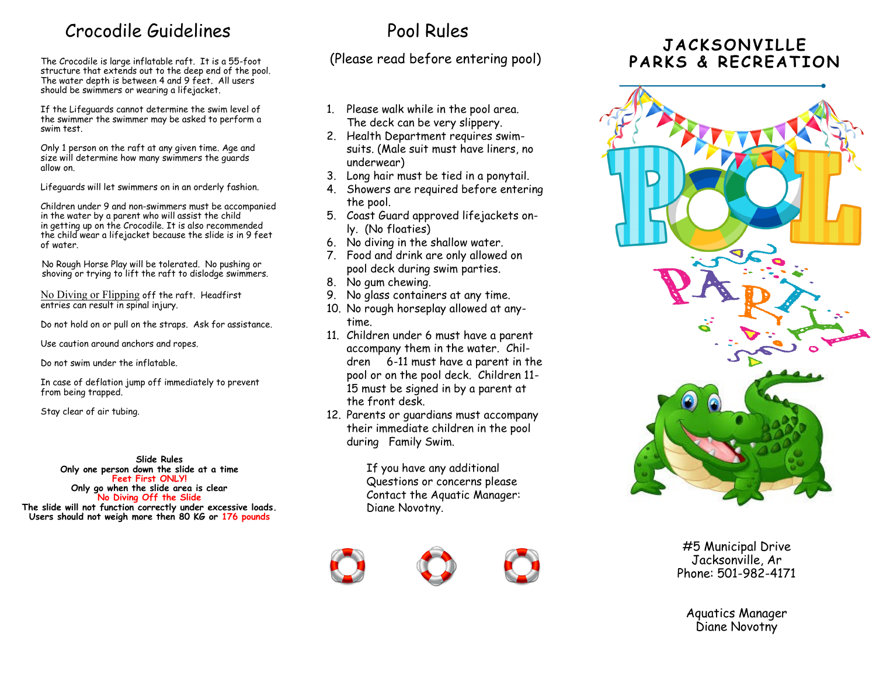### Crocodile Guidelines

structure that extends out to the deep end of the pool. The water depth is between 4 and 9 feet. All users should be swimmers or wearing a lifejacket.

If the Lifeguards cannot determine the swim level of the swimmer the swimmer may be asked to perform a swim test.

Only 1 person on the raft at any given time. Age and size will determine how many swimmers the guards allow on.

Lifeguards will let swimmers on in an orderly fashion.

Children under 9 and non-swimmers must be accompanied in the water by a parent who will assist the child in getting up on the Crocodile. It is also recommended the child wear a lifejacket because the slide is in 9 feet of water.

 No Rough Horse Play will be tolerated. No pushing or shoving or trying to lift the raft to dislodge swimmers.

No Diving or Flipping off the raft. Headfirst entries can result in spinal injury.

Do not hold on or pull on the straps. Ask for assistance.

Use caution around anchors and ropes.

Do not swim under the inflatable.

In case of deflation jump off immediately to prevent from being trapped.

Stay clear of air tubing.

**Slide Rules Only one person down the slide at a time Feet First ONLY! Only go when the slide area is clear No Diving Off the Slide**

**The slide will not function correctly under excessive loads. Users should not weigh more then 80 KG or 176 pounds**

## Pool Rules

The Crocodile is large inflatable raft. It is a 55-foot (Please read before entering pool)

- 1. Please walk while in the pool area. The deck can be very slippery.
- 2. Health Department requires swimsuits. (Male suit must have liners, no underwear)
- 3. Long hair must be tied in a ponytail.
- 4. Showers are required before entering the pool.
- 5. Coast Guard approved lifejackets only. (No floaties)
- 6. No diving in the shallow water.
- 7. Food and drink are only allowed on pool deck during swim parties.
- 8. No gum chewing.
- 9. No glass containers at any time.
- 10. No rough horseplay allowed at anytime.
- 11. Children under 6 must have a parent accompany them in the water. Children 6-11 must have a parent in the pool or on the pool deck. Children 11- 15 must be signed in by a parent at the front desk.
- 12. Parents or guardians must accompany their immediate children in the pool during Family Swim.

If you have any additional Questions or concerns please Contact the Aquatic Manager: Diane Novotny.







### JACKSONVILLE PARKS & RECREATION



#5 Municipal Drive Jacksonville, Ar Phone: 501-982-4171

Aquatics Manager Diane Novotny